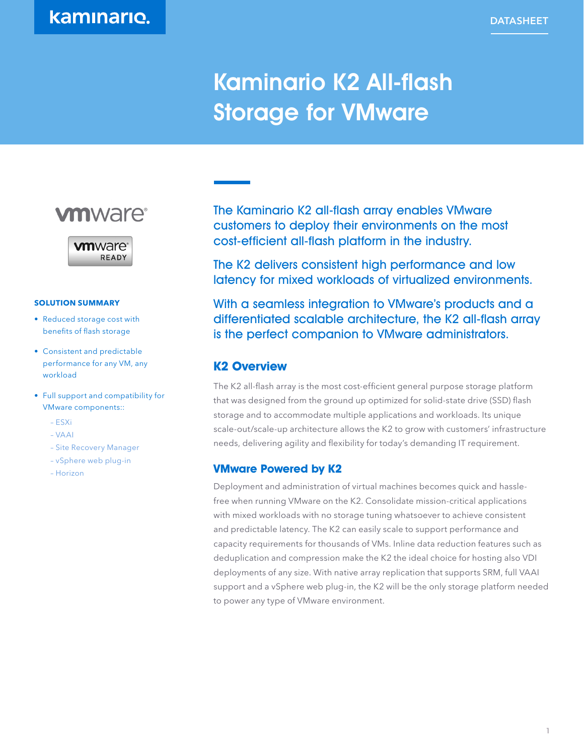# Kaminario K2 All-flash Storage for VMware





#### **SOLUTION SUMMARY**

- Reduced storage cost with benefits of flash storage
- Consistent and predictable performance for any VM, any workload
- Full support and compatibility for VMware components::
	- ESXi
	- VAAI
	- Site Recovery Manager
	- vSphere web plug-in
	- Horizon

The Kaminario K2 all-flash array enables VMware customers to deploy their environments on the most cost-efficient all-flash platform in the industry.

The K2 delivers consistent high performance and low latency for mixed workloads of virtualized environments.

With a seamless integration to VMware's products and a differentiated scalable architecture, the K2 all-flash array is the perfect companion to VMware administrators.

# **K2 Overview**

The K2 all-flash array is the most cost-efficient general purpose storage platform that was designed from the ground up optimized for solid-state drive (SSD) flash storage and to accommodate multiple applications and workloads. Its unique scale-out/scale-up architecture allows the K2 to grow with customers' infrastructure needs, delivering agility and flexibility for today's demanding IT requirement.

#### **VMware Powered by K2**

Deployment and administration of virtual machines becomes quick and hasslefree when running VMware on the K2. Consolidate mission-critical applications with mixed workloads with no storage tuning whatsoever to achieve consistent and predictable latency. The K2 can easily scale to support performance and capacity requirements for thousands of VMs. Inline data reduction features such as deduplication and compression make the K2 the ideal choice for hosting also VDI deployments of any size. With native array replication that supports SRM, full VAAI support and a vSphere web plug-in, the K2 will be the only storage platform needed to power any type of VMware environment.